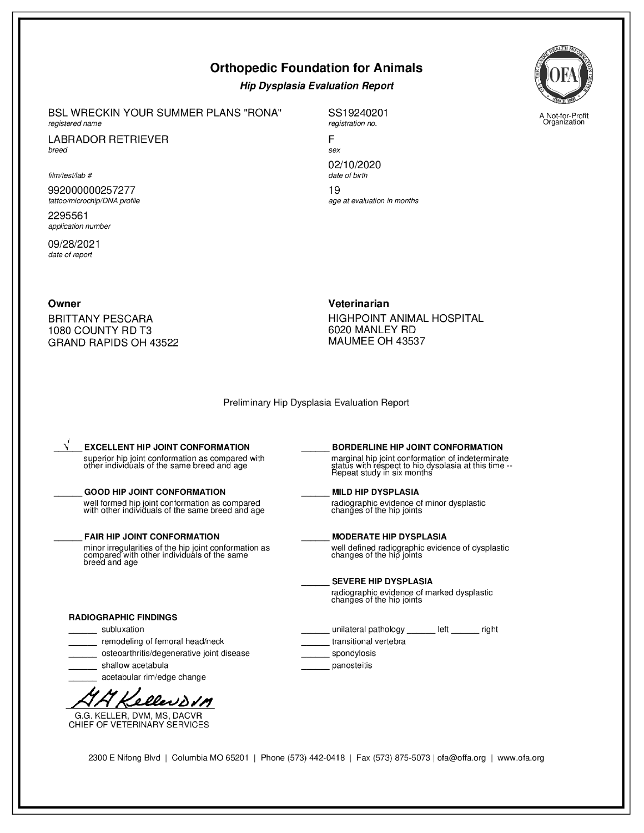# **Orthopedic Foundation for Animals**

## **Hip Dysplasia Evaluation Report**

**BSL WRECKIN YOUR SUMMER PLANS "RONA"** registered name

**LABRADOR RETRIEVER** breed

#### film/test/lab #

992000000257277 tattoo/microchip/DNA profile

2295561 application number

09/28/2021 date of report

SS19240201 registration no.

F sex 02/10/2020 date of birth 19 age at evaluation in months

Owner

**BRITTANY PESCARA** 1080 COUNTY RD T3 GRAND RAPIDS OH 43522 Veterinarian

HIGHPOINT ANIMAL HOSPITAL 6020 MANLEY RD MAUMEE OH 43537

Preliminary Hip Dysplasia Evaluation Report

**EXCELLENT HIP JOINT CONFORMATION** superior hip joint conformation as compared with<br>other individuals of the same breed and age

### **GOOD HIP JOINT CONFORMATION**

well formed hip joint conformation as compared<br>with other individuals of the same breed and age

### **FAIR HIP JOINT CONFORMATION**

minor irregularities of the hip joint conformation as<br>compared with other individuals of the same<br>breed and age

#### **RADIOGRAPHIC FINDINGS**

\_ subluxation

remodeling of femoral head/neck

osteoarthritis/degenerative joint disease

shallow acetabula

acetabular rim/edge change



G.G. KELLER, DVM, MS, DACVR CHIEF OF VETERINARY SERVICES

BORDERLINE HIP JOINT CONFORMATION marginal hip joint conformation of indeterminate<br>status with respect to hip dysplasia at this time --<br>Repeat study in six months

## **MILD HIP DYSPLASIA**

radiographic evidence of minor dysplastic changes of the hip joints

**MODERATE HIP DYSPLASIA** well defined radiographic evidence of dysplastic<br>changes of the hip joints

### **SEVERE HIP DYSPLASIA**

radiographic evidence of marked dysplastic<br>changes of the hip joints

unilateral pathology \_\_\_\_\_\_\_ left \_\_\_\_\_\_\_ right transitional vertebra

spondylosis

panosteitis

2300 E Nifong Blvd | Columbia MO 65201 | Phone (573) 442-0418 | Fax (573) 875-5073 | ofa@offa.org | www.ofa.org



A Not-for-Profit<br>Organization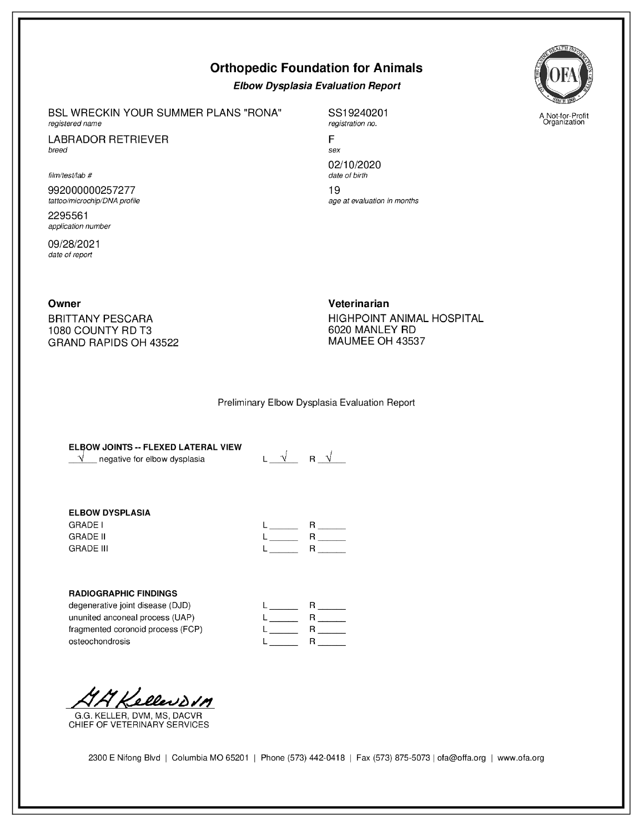# **Orthopedic Foundation for Animals**

## **Elbow Dysplasia Evaluation Report**

BSL WRECKIN YOUR SUMMER PLANS "RONA" registered name

**LABRADOR RETRIEVER** breed

film/test/lab #

992000000257277 tattoo/microchip/DNA profile

2295561 application number

09/28/2021 date of report

SS19240201 registration no.

F sex 02/10/2020 date of birth 19 age at evaluation in months

Owner

**BRITTANY PESCARA** 1080 COUNTY RD T3 GRAND RAPIDS OH 43522 Veterinarian HIGHPOINT ANIMAL HOSPITAL 6020 MANLEY RD MAUMEE OH 43537

### Preliminary Elbow Dysplasia Evaluation Report

ELBOW JOINTS -- FLEXED LATERAL VIEW  $\sqrt{\phantom{a}}$  negative for elbow dysplasia

 $L \begin{array}{c|c} \sqrt{1-\sqrt{1-\lambda^2}} & R \end{array}$ 

## **ELBOW DYSPLASIA**

**GRADE I GRADE II GRADE III** 

|   | R |
|---|---|
| L | R |
| L | R |

### **RADIOGRAPHIC FINDINGS**

degenerative joint disease (DJD) ununited anconeal process (UAP) fragmented coronoid process (FCP) osteochondrosis

|                          | R |
|--------------------------|---|
|                          | R |
|                          | R |
| <b>Contract Contract</b> | R |

44 Kellevovn

G.G. KELLER, DVM, MS, DACVR CHIEF OF VETERINARY SERVICES



A Not-for-Profit<br>Organization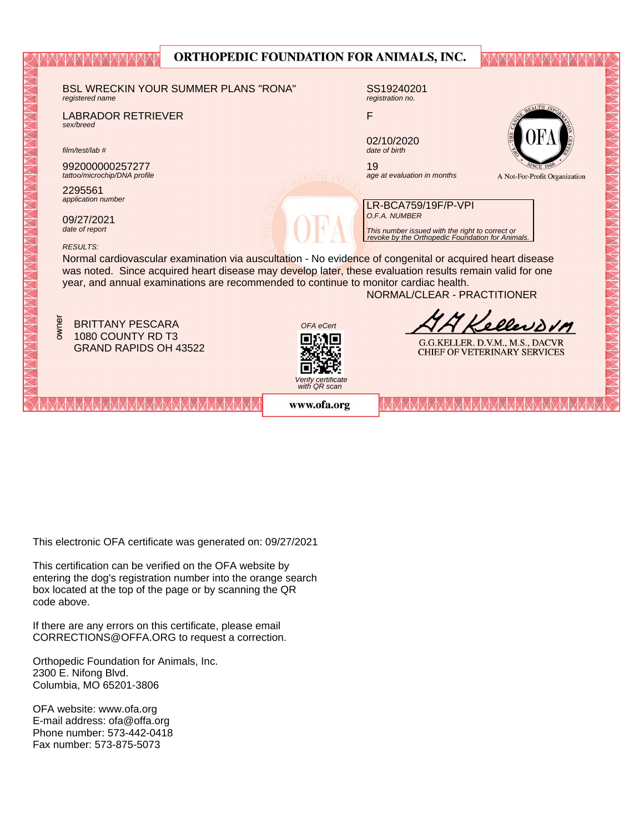|                                                                                                                                                                                                                      | UNTHUI EDIC FUUNDATIUN FUN ANIMALD, INC. |                                                                  |                                     |  |
|----------------------------------------------------------------------------------------------------------------------------------------------------------------------------------------------------------------------|------------------------------------------|------------------------------------------------------------------|-------------------------------------|--|
|                                                                                                                                                                                                                      |                                          |                                                                  |                                     |  |
| <b>BSL WRECKIN YOUR SUMMER PLANS "RONA"</b><br>registered name                                                                                                                                                       |                                          | SS19240201<br>registration no.                                   |                                     |  |
| <b>LABRADOR RETRIEVER</b><br>sex/breed                                                                                                                                                                               | F                                        |                                                                  |                                     |  |
| film/test/lab #                                                                                                                                                                                                      |                                          | 02/10/2020<br>date of birth                                      |                                     |  |
| 992000000257277<br>tattoo/microchip/DNA profile                                                                                                                                                                      | 19                                       | age at evaluation in months                                      | A Not-For-Profit Organization       |  |
| 2295561<br>application number                                                                                                                                                                                        |                                          | LR-BCA759/19F/P-VPI                                              |                                     |  |
| 09/27/2021<br>date of report                                                                                                                                                                                         |                                          | O.F.A. NUMBER<br>This number issued with the right to correct or |                                     |  |
| <b>RESULTS:</b>                                                                                                                                                                                                      |                                          | revoke by the Orthopedic Foundation for Animals.                 |                                     |  |
| Normal cardiovascular examination via auscultation - No evidence of congenital or acquired heart disease<br>was noted. Since acquired heart disease may develop later, these evaluation results remain valid for one |                                          |                                                                  |                                     |  |
| year, and annual examinations are recommended to continue to monitor cardiac health.<br>NORMAL/CLEAR - PRACTITIONER                                                                                                  |                                          |                                                                  |                                     |  |
|                                                                                                                                                                                                                      |                                          |                                                                  |                                     |  |
| owner<br><b>BRITTANY PESCARA</b>                                                                                                                                                                                     | OFA eCert                                |                                                                  | ellerom                             |  |
| 1080 COUNTY RD T3<br><b>GRAND RAPIDS OH 43522</b>                                                                                                                                                                    |                                          |                                                                  | G.G.KELLER. D.V.M., M.S., DACVR     |  |
|                                                                                                                                                                                                                      |                                          |                                                                  | <b>CHIEF OF VETERINARY SERVICES</b> |  |
|                                                                                                                                                                                                                      | Verify certificate<br>with QR scan       |                                                                  |                                     |  |
|                                                                                                                                                                                                                      | www.ofa.org                              |                                                                  |                                     |  |

OPTHOPEDIC FOUNDATION FOR ANIMALS INC.

**disabasana**n

This electronic OFA certificate was generated on: 09/27/2021

This certification can be verified on the OFA website by box located at the top of the page or by scanning the QR code above. entering the dog's registration number into the orange search

If there are any errors on this certificate, please email  $CORRECTIONS@OFFA.ORG$  to request a correction.

Phone number: 573-442-0418 Orthopedic Foundation for Animals, Inc. 2300 E. Nifong Blvd. Columbia, MO 65201-3806

OFA website: www.ofa.org E-mail address: ofa@offa.org Phone number: 573-442-0418 Fax number: 573-875-5073

XXXXXXX